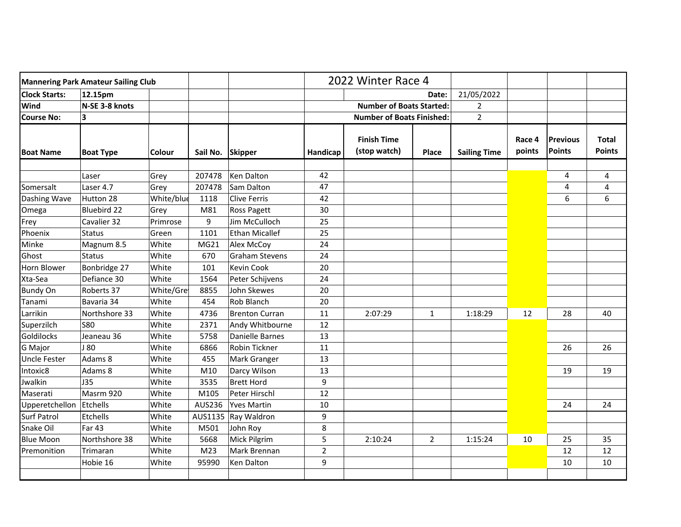| <b>Mannering Park Amateur Sailing Club</b> |                   |               |          |                        | 2022 Winter Race 4               |                                    |                |                     |                  |                                  |                               |
|--------------------------------------------|-------------------|---------------|----------|------------------------|----------------------------------|------------------------------------|----------------|---------------------|------------------|----------------------------------|-------------------------------|
| <b>Clock Starts:</b>                       | 12.15pm           |               |          |                        | Date:                            |                                    |                | 21/05/2022          |                  |                                  |                               |
| Wind                                       | N-SE 3-8 knots    |               |          |                        | <b>Number of Boats Started:</b>  |                                    | 2              |                     |                  |                                  |                               |
| <b>Course No:</b>                          | 3                 |               |          |                        | <b>Number of Boats Finished:</b> |                                    |                | $\overline{2}$      |                  |                                  |                               |
| <b>Boat Name</b>                           | <b>Boat Type</b>  | <b>Colour</b> | Sail No. | <b>Skipper</b>         | Handicap                         | <b>Finish Time</b><br>(stop watch) | <b>Place</b>   | <b>Sailing Time</b> | Race 4<br>points | <b>Previous</b><br><b>Points</b> | <b>Total</b><br><b>Points</b> |
|                                            | Laser             | Grey          | 207478   | Ken Dalton             | 42                               |                                    |                |                     |                  | 4                                | 4                             |
|                                            | Laser 4.7         |               | 207478   | Sam Dalton             | 47                               |                                    |                |                     |                  | 4                                |                               |
| Somersalt                                  |                   | Grey          |          |                        |                                  |                                    |                |                     |                  |                                  | 4                             |
| Dashing Wave                               | Hutton 28         | White/blue    | 1118     | <b>Clive Ferris</b>    | 42                               |                                    |                |                     |                  | 6                                | 6                             |
| Omega                                      | Bluebird 22       | Grey          | M81      | Ross Pagett            | 30                               |                                    |                |                     |                  |                                  |                               |
| Frey                                       | Cavalier 32       | Primrose      | 9        | Jim McCulloch          | 25                               |                                    |                |                     |                  |                                  |                               |
| Phoenix                                    | <b>Status</b>     | Green         | 1101     | <b>Ethan Micallef</b>  | 25                               |                                    |                |                     |                  |                                  |                               |
| Minke                                      | Magnum 8.5        | White         | MG21     | Alex McCoy             | 24                               |                                    |                |                     |                  |                                  |                               |
| Ghost                                      | <b>Status</b>     | White         | 670      | <b>Graham Stevens</b>  | 24                               |                                    |                |                     |                  |                                  |                               |
| Horn Blower                                | Bonbridge 27      | White         | 101      | <b>Kevin Cook</b>      | 20                               |                                    |                |                     |                  |                                  |                               |
| Xta-Sea                                    | Defiance 30       | White         | 1564     | Peter Schijvens        | 24                               |                                    |                |                     |                  |                                  |                               |
| <b>Bundy On</b>                            | Roberts 37        | White/Gre     | 8855     | John Skewes            | 20                               |                                    |                |                     |                  |                                  |                               |
| Tanami                                     | Bavaria 34        | White         | 454      | Rob Blanch             | 20                               |                                    |                |                     |                  |                                  |                               |
| Larrikin                                   | Northshore 33     | White         | 4736     | <b>Brenton Curran</b>  | 11                               | 2:07:29                            | $\mathbf{1}$   | 1:18:29             | 12               | 28                               | 40                            |
| Superzilch                                 | <b>S80</b>        | White         | 2371     | Andy Whitbourne        | 12                               |                                    |                |                     |                  |                                  |                               |
| <b>Goldilocks</b>                          | Jeaneau 36        | White         | 5758     | <b>Danielle Barnes</b> | 13                               |                                    |                |                     |                  |                                  |                               |
| G Major                                    | J 80              | White         | 6866     | Robin Tickner          | 11                               |                                    |                |                     |                  | 26                               | 26                            |
| <b>Uncle Fester</b>                        | Adams 8           | White         | 455      | Mark Granger           | 13                               |                                    |                |                     |                  |                                  |                               |
| Intoxic8                                   | Adams 8           | White         | M10      | Darcy Wilson           | 13                               |                                    |                |                     |                  | 19                               | 19                            |
| Jwalkin                                    | <b>J35</b>        | White         | 3535     | <b>Brett Hord</b>      | 9                                |                                    |                |                     |                  |                                  |                               |
| Maserati                                   | Masrm 920         | White         | M105     | Peter Hirschl          | 12                               |                                    |                |                     |                  |                                  |                               |
| Upperetchellon                             | Etchells          | White         | AUS236   | <b>Yves Martin</b>     | 10                               |                                    |                |                     |                  | 24                               | 24                            |
| <b>Surf Patrol</b>                         | Etchells          | White         | AUS1135  | Ray Waldron            | 9                                |                                    |                |                     |                  |                                  |                               |
| Snake Oil                                  | Far <sub>43</sub> | White         | M501     | John Roy               | 8                                |                                    |                |                     |                  |                                  |                               |
| <b>Blue Moon</b>                           | Northshore 38     | White         | 5668     | Mick Pilgrim           | 5                                | 2:10:24                            | $\overline{2}$ | 1:15:24             | 10               | 25                               | 35                            |
| Premonition                                | Trimaran          | White         | M23      | Mark Brennan           | $\mathbf 2$                      |                                    |                |                     |                  | 12                               | 12                            |
|                                            | Hobie 16          | White         | 95990    | Ken Dalton             | 9                                |                                    |                |                     |                  | 10                               | 10                            |
|                                            |                   |               |          |                        |                                  |                                    |                |                     |                  |                                  |                               |